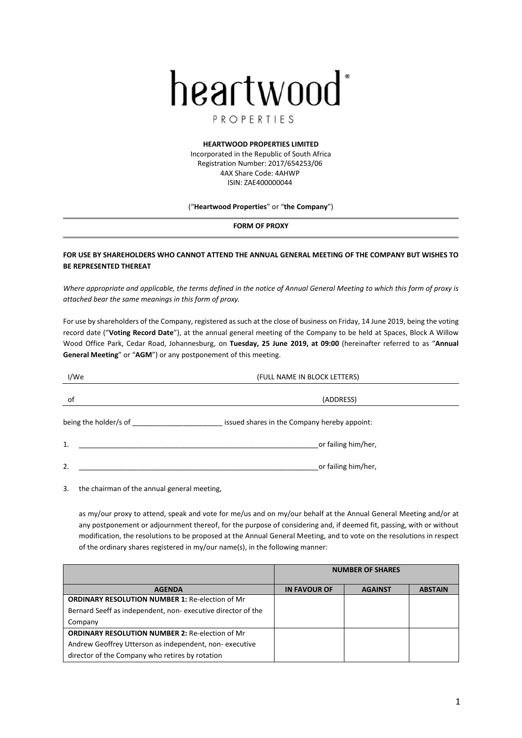

# PROPERTIES

### **HEARTWOOD PROPERTIES LIMITED**

Incorporated in the Republic of South Africa Registration Number: 2017/654253/06 4AX Share Code: 4AHWP ISIN: ZAE400000044

### ("**Heartwood Properties**" or "**the Company**")

#### **FORM OF PROXY**

## **FOR USE BY SHAREHOLDERS WHO CANNOT ATTEND THE ANNUAL GENERAL MEETING OF THE COMPANY BUT WISHES TO BE REPRESENTED THEREAT**

*Where appropriate and applicable, the terms defined in the notice of Annual General Meeting to which this form of proxy is attached bear the same meanings in this form of proxy.* 

For use by shareholders of the Company, registered as such at the close of business on Friday, 14 June 2019, being the voting record date ("**Voting Record Date**"), at the annual general meeting of the Company to be held at Spaces, Block A Willow Wood Office Park, Cedar Road, Johannesburg, on **Tuesday, 25 June 2019, at 09:00** (hereinafter referred to as "**Annual General Meeting**" or "**AGM**") or any postponement of this meeting.

| I/We                  | (FULL NAME IN BLOCK LETTERS)                 |  |
|-----------------------|----------------------------------------------|--|
| οf                    | (ADDRESS)                                    |  |
| being the holder/s of | issued shares in the Company hereby appoint: |  |
| 1.                    | or failing him/her,                          |  |
| 2.                    | or failing him/her,                          |  |

3. the chairman of the annual general meeting,

as my/our proxy to attend, speak and vote for me/us and on my/our behalf at the Annual General Meeting and/or at any postponement or adjournment thereof, for the purpose of considering and, if deemed fit, passing, with or without modification, the resolutions to be proposed at the Annual General Meeting, and to vote on the resolutions in respect of the ordinary shares registered in my/our name(s), in the following manner:

|                                                             | <b>NUMBER OF SHARES</b> |                |                |
|-------------------------------------------------------------|-------------------------|----------------|----------------|
| <b>AGENDA</b>                                               | <b>IN FAVOUR OF</b>     | <b>AGAINST</b> | <b>ABSTAIN</b> |
| <b>ORDINARY RESOLUTION NUMBER 1: Re-election of Mr</b>      |                         |                |                |
| Bernard Seeff as independent, non-executive director of the |                         |                |                |
| Company                                                     |                         |                |                |
| <b>ORDINARY RESOLUTION NUMBER 2: Re-election of Mr</b>      |                         |                |                |
| Andrew Geoffrey Utterson as independent, non-executive      |                         |                |                |
| director of the Company who retires by rotation             |                         |                |                |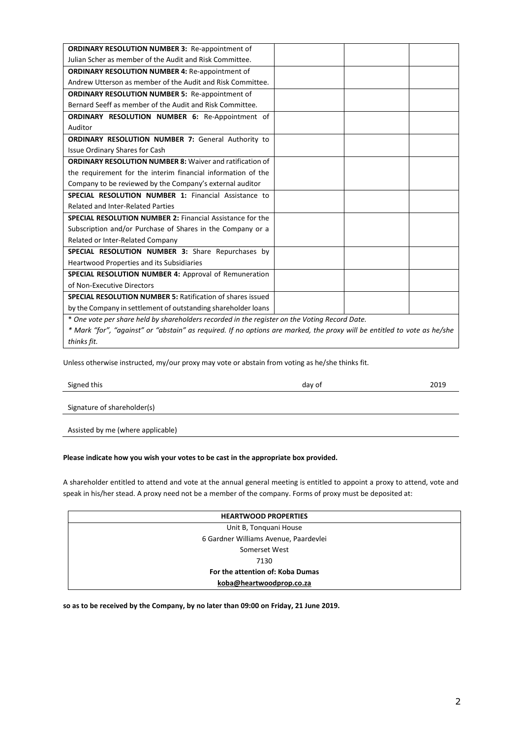| <b>ORDINARY RESOLUTION NUMBER 3: Re-appointment of</b>                                                                   |  |
|--------------------------------------------------------------------------------------------------------------------------|--|
| Julian Scher as member of the Audit and Risk Committee.                                                                  |  |
| <b>ORDINARY RESOLUTION NUMBER 4: Re-appointment of</b>                                                                   |  |
| Andrew Utterson as member of the Audit and Risk Committee.                                                               |  |
| <b>ORDINARY RESOLUTION NUMBER 5: Re-appointment of</b>                                                                   |  |
| Bernard Seeff as member of the Audit and Risk Committee.                                                                 |  |
| <b>ORDINARY RESOLUTION NUMBER 6: Re-Appointment of</b>                                                                   |  |
| Auditor                                                                                                                  |  |
| <b>ORDINARY RESOLUTION NUMBER 7: General Authority to</b>                                                                |  |
| Issue Ordinary Shares for Cash                                                                                           |  |
| <b>ORDINARY RESOLUTION NUMBER 8: Waiver and ratification of</b>                                                          |  |
| the requirement for the interim financial information of the                                                             |  |
| Company to be reviewed by the Company's external auditor                                                                 |  |
| <b>SPECIAL RESOLUTION NUMBER 1: Financial Assistance to</b>                                                              |  |
| <b>Related and Inter-Related Parties</b>                                                                                 |  |
| <b>SPECIAL RESOLUTION NUMBER 2: Financial Assistance for the</b>                                                         |  |
| Subscription and/or Purchase of Shares in the Company or a                                                               |  |
| Related or Inter-Related Company                                                                                         |  |
| SPECIAL RESOLUTION NUMBER 3: Share Repurchases by                                                                        |  |
| <b>Heartwood Properties and its Subsidiaries</b>                                                                         |  |
| <b>SPECIAL RESOLUTION NUMBER 4: Approval of Remuneration</b>                                                             |  |
| of Non-Executive Directors                                                                                               |  |
| <b>SPECIAL RESOLUTION NUMBER 5: Ratification of shares issued</b>                                                        |  |
| by the Company in settlement of outstanding shareholder loans                                                            |  |
| * One vote per share held by shareholders recorded in the register on the Voting Record Date.                            |  |
| * Mark "for", "against" or "abstain" as required. If no options are marked, the proxy will be entitled to vote as he/she |  |
| thinks fit.                                                                                                              |  |

Unless otherwise instructed, my/our proxy may vote or abstain from voting as he/she thinks fit.

Signed this and the control of 2019 of 2019 and the control of 2019 and the control of 2019

Signature of shareholder(s)

Assisted by me (where applicable)

### **Please indicate how you wish your votes to be cast in the appropriate box provided.**

A shareholder entitled to attend and vote at the annual general meeting is entitled to appoint a proxy to attend, vote and speak in his/her stead. A proxy need not be a member of the company. Forms of proxy must be deposited at:

| <b>HEARTWOOD PROPERTIES</b>           |
|---------------------------------------|
| Unit B, Tonquani House                |
| 6 Gardner Williams Avenue, Paardevlei |
| Somerset West                         |
| 7130                                  |
| For the attention of: Koba Dumas      |
| koba@heartwoodprop.co.za              |

**so as to be received by the Company, by no later than 09:00 on Friday, 21 June 2019.**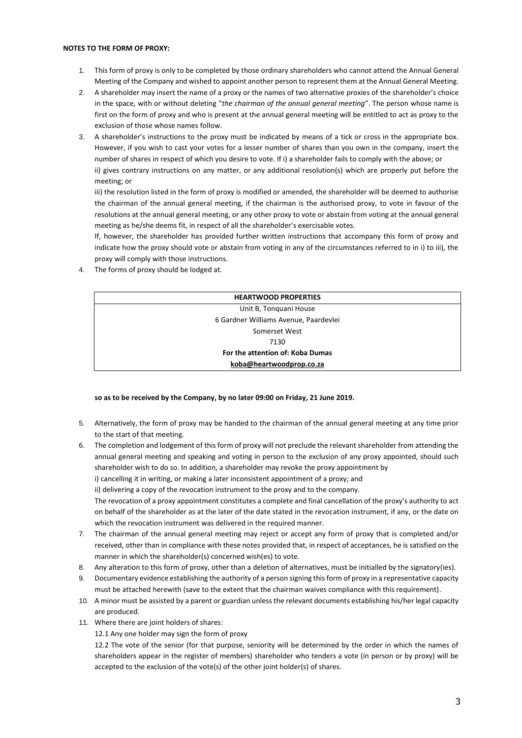### **NOTES TO THE FORM OF PROXY:**

- 1. This form of proxy is only to be completed by those ordinary shareholders who cannot attend the Annual General Meeting of the Company and wished to appoint another person to represent them at the Annual General Meeting.
- 2. A shareholder may insert the name of a proxy or the names of two alternative proxies of the shareholder's choice in the space, with or without deleting "*the chairman of the annual general meeting*". The person whose name is first on the form of proxy and who is present at the annual general meeting will be entitled to act as proxy to the exclusion of those whose names follow.
- 3. A shareholder's instructions to the proxy must be indicated by means of a tick or cross in the appropriate box. However, if you wish to cast your votes for a lesser number of shares than you own in the company, insert the number of shares in respect of which you desire to vote. If i) a shareholder fails to comply with the above; or ii) gives contrary instructions on any matter, or any additional resolution(s) which are properly put before the meeting; or

iii) the resolution listed in the form of proxy is modified or amended, the shareholder will be deemed to authorise the chairman of the annual general meeting, if the chairman is the authorised proxy, to vote in favour of the resolutions at the annual general meeting, or any other proxy to vote or abstain from voting at the annual general meeting as he/she deems fit, in respect of all the shareholder's exercisable votes.

If, however, the shareholder has provided further written instructions that accompany this form of proxy and indicate how the proxy should vote or abstain from voting in any of the circumstances referred to in i) to iii), the proxy will comply with those instructions.

4. The forms of proxy should be lodged at.

| <b>HEARTWOOD PROPERTIES</b>           |
|---------------------------------------|
| Unit B, Tonquani House                |
| 6 Gardner Williams Avenue, Paardevlei |
| Somerset West                         |
| 7130                                  |
| For the attention of: Koba Dumas      |
| koba@heartwoodprop.co.za              |

### **so as to be received by the Company, by no later 09:00 on Friday, 21 June 2019.**

- 5. Alternatively, the form of proxy may be handed to the chairman of the annual general meeting at any time prior to the start of that meeting.
- 6. The completion and lodgement of this form of proxy will not preclude the relevant shareholder from attending the annual general meeting and speaking and voting in person to the exclusion of any proxy appointed, should such shareholder wish to do so. In addition, a shareholder may revoke the proxy appointment by i) cancelling it in writing, or making a later inconsistent appointment of a proxy; and ii) delivering a copy of the revocation instrument to the proxy and to the company. The revocation of a proxy appointment constitutes a complete and final cancellation of the proxy's authority to act

on behalf of the shareholder as at the later of the date stated in the revocation instrument, if any, or the date on which the revocation instrument was delivered in the required manner.

- 7. The chairman of the annual general meeting may reject or accept any form of proxy that is completed and/or received, other than in compliance with these notes provided that, in respect of acceptances, he is satisfied on the manner in which the shareholder(s) concerned wish(es) to vote.
- 8. Any alteration to this form of proxy, other than a deletion of alternatives, must be initialled by the signatory(ies).
- 9. Documentary evidence establishing the authority of a person signing this form of proxy in a representative capacity must be attached herewith (save to the extent that the chairman waives compliance with this requirement).
- 10. A minor must be assisted by a parent or guardian unless the relevant documents establishing his/her legal capacity are produced.
- 11. Where there are joint holders of shares:
	- 12.1 Any one holder may sign the form of proxy

12.2 The vote of the senior (for that purpose, seniority will be determined by the order in which the names of shareholders appear in the register of members) shareholder who tenders a vote (in person or by proxy) will be accepted to the exclusion of the vote(s) of the other joint holder(s) of shares.